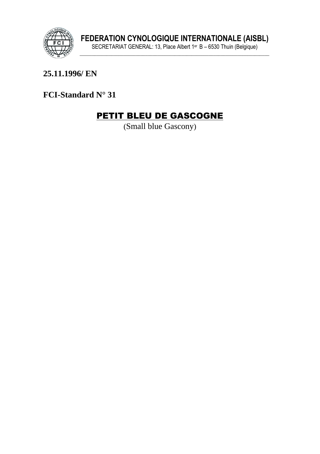

# 25.11.1996/EN

FCI-Standard N° 31

# PETIT BLEU DE GASCOGNE

(Small blue Gascony)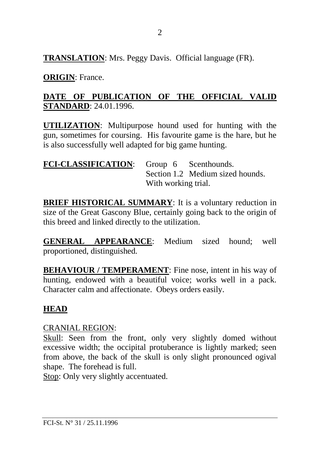**TRANSLATION**: Mrs. Peggy Davis. Official language (FR).

**ORIGIN**: France.

### **DATE OF PUBLICATION OF THE OFFICIAL VALID STANDARD**: 24.01.1996.

**UTILIZATION**: Multipurpose hound used for hunting with the gun, sometimes for coursing. His favourite game is the hare, but he is also successfully well adapted for big game hunting.

| FCI-CLASSIFICATION: Group 6 Scenthounds. |                     |  |                                  |
|------------------------------------------|---------------------|--|----------------------------------|
|                                          |                     |  | Section 1.2 Medium sized hounds. |
|                                          | With working trial. |  |                                  |

**BRIEF HISTORICAL SUMMARY:** It is a voluntary reduction in size of the Great Gascony Blue, certainly going back to the origin of this breed and linked directly to the utilization.

**GENERAL APPEARANCE**: Medium sized hound; well proportioned, distinguished.

**BEHAVIOUR / TEMPERAMENT:** Fine nose, intent in his way of hunting, endowed with a beautiful voice; works well in a pack. Character calm and affectionate. Obeys orders easily.

# **HEAD**

#### CRANIAL REGION:

Skull: Seen from the front, only very slightly domed without excessive width; the occipital protuberance is lightly marked; seen from above, the back of the skull is only slight pronounced ogival shape. The forehead is full.

Stop: Only very slightly accentuated.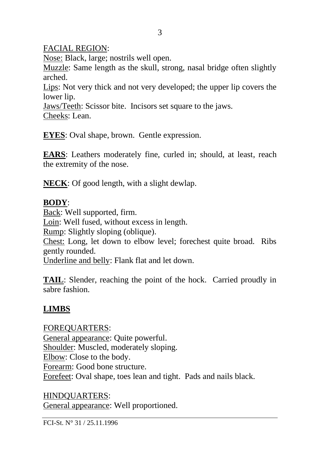FACIAL REGION:

Nose: Black, large; nostrils well open.

Muzzle: Same length as the skull, strong, nasal bridge often slightly arched.

Lips: Not very thick and not very developed; the upper lip covers the lower lip.

Jaws/Teeth: Scissor bite. Incisors set square to the jaws. Cheeks: Lean.

**EYES**: Oval shape, brown. Gentle expression.

**EARS**: Leathers moderately fine, curled in; should, at least, reach the extremity of the nose.

**NECK**: Of good length, with a slight dewlap.

### **BODY**:

Back: Well supported, firm. Loin: Well fused, without excess in length. Rump: Slightly sloping (oblique). Chest: Long, let down to elbow level; forechest quite broad. Ribs gently rounded. Underline and belly: Flank flat and let down.

**TAIL**: Slender, reaching the point of the hock. Carried proudly in sabre fashion.

# **LIMBS**

FOREQUARTERS: General appearance: Quite powerful. Shoulder: Muscled, moderately sloping. Elbow: Close to the body. Forearm: Good bone structure. Forefeet: Oval shape, toes lean and tight. Pads and nails black.

HINDQUARTERS: General appearance: Well proportioned.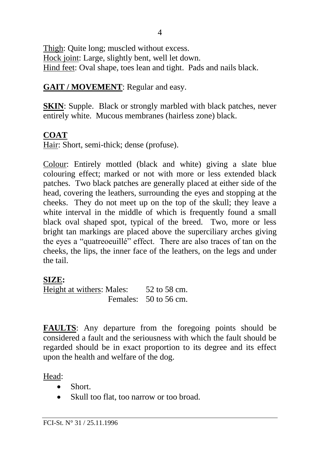Thigh: Quite long; muscled without excess. Hock joint: Large, slightly bent, well let down. Hind feet: Oval shape, toes lean and tight. Pads and nails black.

#### **GAIT / MOVEMENT**: Regular and easy.

**SKIN:** Supple. Black or strongly marbled with black patches, never entirely white. Mucous membranes (hairless zone) black.

#### **COAT**

Hair: Short, semi-thick; dense (profuse).

Colour: Entirely mottled (black and white) giving a slate blue colouring effect; marked or not with more or less extended black patches. Two black patches are generally placed at either side of the head, covering the leathers, surrounding the eyes and stopping at the cheeks. They do not meet up on the top of the skull; they leave a white interval in the middle of which is frequently found a small black oval shaped spot, typical of the breed. Two, more or less bright tan markings are placed above the superciliary arches giving the eyes a "quatreoeuillé" effect. There are also traces of tan on the cheeks, the lips, the inner face of the leathers, on the legs and under the tail.

# **SIZE:**

Height at withers: Males: 52 to 58 cm. Females: 50 to 56 cm.

**FAULTS**: Any departure from the foregoing points should be considered a fault and the seriousness with which the fault should be regarded should be in exact proportion to its degree and its effect upon the health and welfare of the dog.

Head:

- Short
- Skull too flat, too narrow or too broad.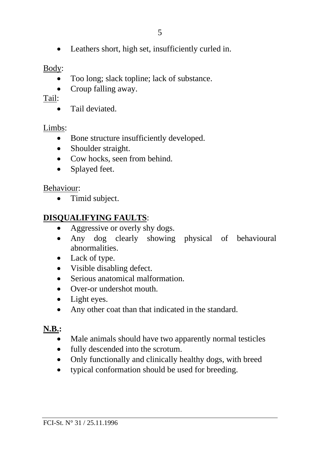• Leathers short, high set, insufficiently curled in.

### Body:

- Too long; slack topline; lack of substance.
- Croup falling away.

# Tail:

• Tail deviated

# Limbs:

- Bone structure insufficiently developed.
- Shoulder straight.
- Cow hocks, seen from behind.
- Splayed feet.

# Behaviour:

• Timid subject.

# **DISQUALIFYING FAULTS**:

- Aggressive or overly shy dogs.
- Any dog clearly showing physical of behavioural abnormalities.
- Lack of type.
- Visible disabling defect.
- Serious anatomical malformation
- Over-or undershot mouth.
- Light eyes.
- Any other coat than that indicated in the standard.

# **N.B.:**

- Male animals should have two apparently normal testicles
- fully descended into the scrotum.
- Only functionally and clinically healthy dogs, with breed
- typical conformation should be used for breeding.